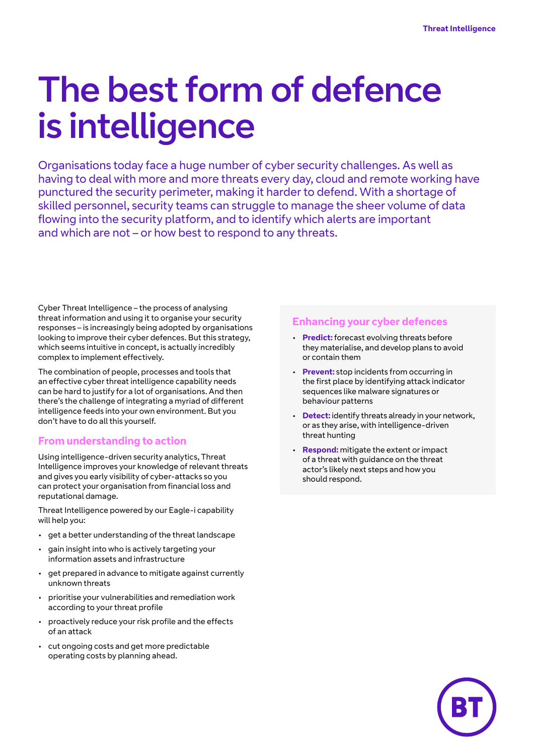# The best form of defence is intelligence

Organisations today face a huge number of cyber security challenges. As well as having to deal with more and more threats every day, cloud and remote working have punctured the security perimeter, making it harder to defend. With a shortage of skilled personnel, security teams can struggle to manage the sheer volume of data flowing into the security platform, and to identify which alerts are important and which are not – or how best to respond to any threats.

Cyber Threat Intelligence – the process of analysing threat information and using it to organise your security responses – is increasingly being adopted by organisations looking to improve their cyber defences. But this strategy, which seems intuitive in concept, is actually incredibly complex to implement effectively.

The combination of people, processes and tools that an effective cyber threat intelligence capability needs can be hard to justify for a lot of organisations. And then there's the challenge of integrating a myriad of different intelligence feeds into your own environment. But you don't have to do all this yourself.

#### **From understanding to action**

Using intelligence-driven security analytics, Threat Intelligence improves your knowledge of relevant threats and gives you early visibility of cyber-attacks so you can protect your organisation from financial loss and reputational damage.

Threat Intelligence powered by our Eagle-i capability will help you:

- get a better understanding of the threat landscape
- gain insight into who is actively targeting your information assets and infrastructure
- get prepared in advance to mitigate against currently unknown threats
- prioritise your vulnerabilities and remediation work according to your threat profile
- proactively reduce your risk profile and the effects of an attack
- cut ongoing costs and get more predictable operating costs by planning ahead.

#### **Enhancing your cyber defences**

- **Predict:** forecast evolving threats before they materialise, and develop plans to avoid or contain them
- **Prevent:** stop incidents from occurring in the first place by identifying attack indicator sequences like malware signatures or behaviour patterns
- **Detect:** identify threats already in your network, or as they arise, with intelligence-driven threat hunting
- **Respond:** mitigate the extent or impact of a threat with guidance on the threat actor's likely next steps and how you should respond.